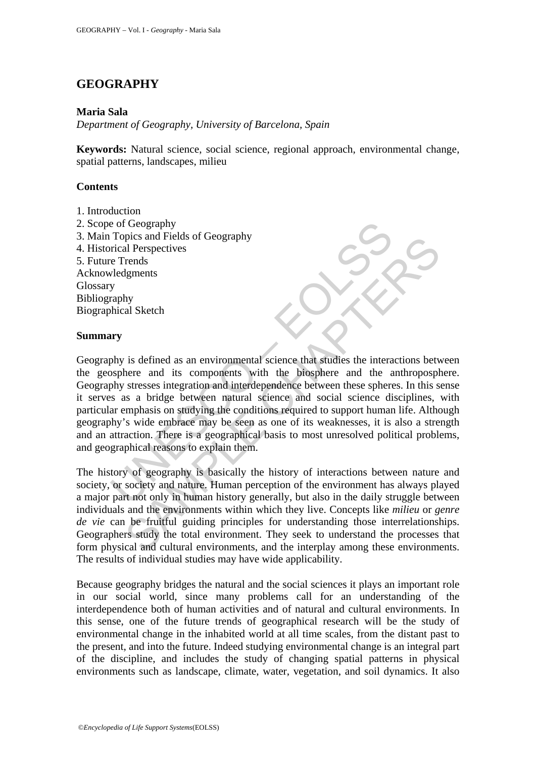# **GEOGRAPHY**

### **Maria Sala**

*Department of Geography, University of Barcelona, Spain* 

**Keywords:** Natural science, social science, regional approach, environmental change, spatial patterns, landscapes, milieu

### **Contents**

1. Introduction 2. Scope of Geography 3. Main Topics and Fields of Geography 4. Historical Perspectives 5. Future Trends Acknowledgments Glossary Bibliography Biographical Sketch

### **Summary**

The of Geography<br>
Topics and Fields of Geography<br>
Topics and Fields of Geography<br>
exercent expectives<br>
exercent expectives<br>
Velogramets<br>
Velogramets<br>
Velogramets<br>
Nextercent that sumplement with the biosphere and the a<br>
sp The state and relations of Cooperations and the method and content and the environments can be first alternation and interespending the states interactions between and its components with the biosphere and the anthroposphe Geography is defined as an environmental science that studies the interactions between the geosphere and its components with the biosphere and the anthroposphere. Geography stresses integration and interdependence between these spheres. In this sense it serves as a bridge between natural science and social science disciplines, with particular emphasis on studying the conditions required to support human life. Although geography's wide embrace may be seen as one of its weaknesses, it is also a strength and an attraction. There is a geographical basis to most unresolved political problems, and geographical reasons to explain them.

The history of geography is basically the history of interactions between nature and society, or society and nature. Human perception of the environment has always played a major part not only in human history generally, but also in the daily struggle between individuals and the environments within which they live. Concepts like *milieu* or *genre de vie* can be fruitful guiding principles for understanding those interrelationships. Geographers study the total environment. They seek to understand the processes that form physical and cultural environments, and the interplay among these environments. The results of individual studies may have wide applicability.

Because geography bridges the natural and the social sciences it plays an important role in our social world, since many problems call for an understanding of the interdependence both of human activities and of natural and cultural environments. In this sense, one of the future trends of geographical research will be the study of environmental change in the inhabited world at all time scales, from the distant past to the present, and into the future. Indeed studying environmental change is an integral part of the discipline, and includes the study of changing spatial patterns in physical environments such as landscape, climate, water, vegetation, and soil dynamics. It also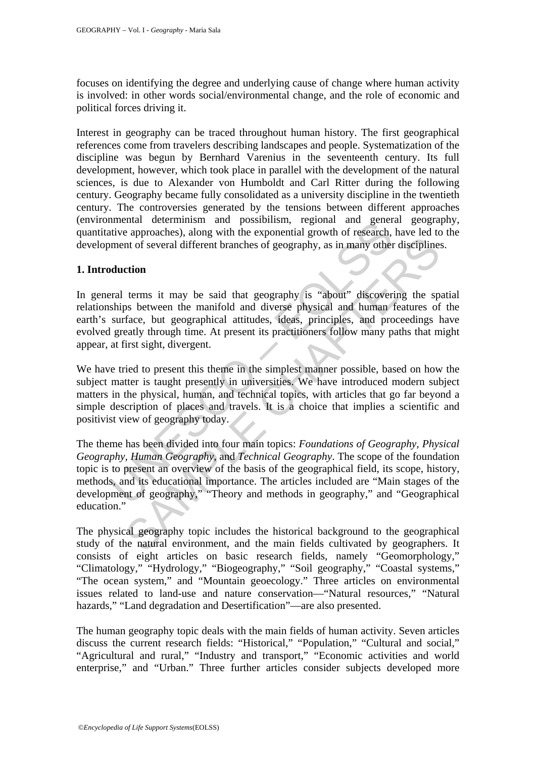focuses on identifying the degree and underlying cause of change where human activity is involved: in other words social/environmental change, and the role of economic and political forces driving it.

Interest in geography can be traced throughout human history. The first geographical references come from travelers describing landscapes and people. Systematization of the discipline was begun by Bernhard Varenius in the seventeenth century. Its full development, however, which took place in parallel with the development of the natural sciences, is due to Alexander von Humboldt and Carl Ritter during the following century. Geography became fully consolidated as a university discipline in the twentieth century. The controversies generated by the tensions between different approaches (environmental determinism and possibilism, regional and general geography, quantitative approaches), along with the exponential growth of research, have led to the development of several different branches of geography, as in many other disciplines.

# **1. Introduction**

In general terms it may be said that geography is "about" discovering the spatial relationships between the manifold and diverse physical and human features of the earth's surface, but geographical attitudes, ideas, principles, and proceedings have evolved greatly through time. At present its practitioners follow many paths that might appear, at first sight, divergent.

We have tried to present this theme in the simplest manner possible, based on how the subject matter is taught presently in universities. We have introduced modern subject matters in the physical, human, and technical topics, with articles that go far beyond a simple description of places and travels. It is a choice that implies a scientific and positivist view of geography today.

mental decentrism and possibilism, regional and general<br>trive approaches), along with the exponential growth of research,<br>ment of several different branches of geography, as in many other<br>**duction**<br>ral terms it may be said increases that the several different branches of geography, as in many other disciplines<br>
et int of several different branches of geography, as in many other disciplines<br>
etion<br>
terms it may be said that geography is "abou The theme has been divided into four main topics: *Foundations of Geography, Physical Geography, Human Geography*, and *Technical Geography*. The scope of the foundation topic is to present an overview of the basis of the geographical field, its scope, history, methods, and its educational importance. The articles included are "Main stages of the development of geography," "Theory and methods in geography," and "Geographical education."

The physical geography topic includes the historical background to the geographical study of the natural environment, and the main fields cultivated by geographers. It consists of eight articles on basic research fields, namely "Geomorphology," "Climatology," "Hydrology," "Biogeography," "Soil geography," "Coastal systems," "The ocean system," and "Mountain geoecology." Three articles on environmental issues related to land-use and nature conservation—"Natural resources," "Natural hazards," "Land degradation and Desertification"—are also presented.

The human geography topic deals with the main fields of human activity. Seven articles discuss the current research fields: "Historical," "Population," "Cultural and social," "Agricultural and rural," "Industry and transport," "Economic activities and world enterprise," and "Urban." Three further articles consider subjects developed more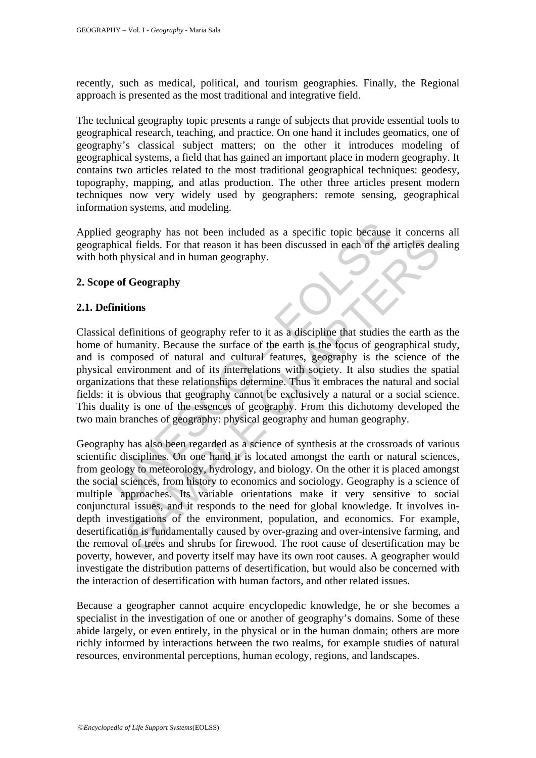recently, such as medical, political, and tourism geographies. Finally, the Regional approach is presented as the most traditional and integrative field.

The technical geography topic presents a range of subjects that provide essential tools to geographical research, teaching, and practice. On one hand it includes geomatics, one of geography's classical subject matters; on the other it introduces modeling of geographical systems, a field that has gained an important place in modern geography. It contains two articles related to the most traditional geographical techniques: geodesy, topography, mapping, and atlas production. The other three articles present modern techniques now very widely used by geographers: remote sensing, geographical information systems, and modeling.

Applied geography has not been included as a specific topic because it concerns all geographical fields. For that reason it has been discussed in each of the articles dealing with both physical and in human geography.

# **2. Scope of Geography**

# **2.1. Definitions**

I geography has not been included as a specific topic because<br>thical fields. For that reason it has been discussed in each of the<br>th physical and in human geography.<br>**Example 10** the physical and in human geography.<br>**Examp** Classical definitions of geography refer to it as a discipline that studies the earth as the home of humanity. Because the surface of the earth is the focus of geographical study, and is composed of natural and cultural features, geography is the science of the physical environment and of its interrelations with society. It also studies the spatial organizations that these relationships determine. Thus it embraces the natural and social fields: it is obvious that geography cannot be exclusively a natural or a social science. This duality is one of the essences of geography. From this dichotomy developed the two main branches of geography: physical geography and human geography.

See that the cost muslim and sole of the articles see the seal of the articles deal and in human geography.<br> **E** Geography<br> **E** Geography<br> **E** Geography<br> **E** Geography<br> **E** Geography<br> **E** Geography<br> **E** Geography<br> **E** Geog Geography has also been regarded as a science of synthesis at the crossroads of various scientific disciplines. On one hand it is located amongst the earth or natural sciences, from geology to meteorology, hydrology, and biology. On the other it is placed amongst the social sciences, from history to economics and sociology. Geography is a science of multiple approaches. Its variable orientations make it very sensitive to social conjunctural issues, and it responds to the need for global knowledge. It involves indepth investigations of the environment, population, and economics. For example, desertification is fundamentally caused by over-grazing and over-intensive farming, and the removal of trees and shrubs for firewood. The root cause of desertification may be poverty, however, and poverty itself may have its own root causes. A geographer would investigate the distribution patterns of desertification, but would also be concerned with the interaction of desertification with human factors, and other related issues.

Because a geographer cannot acquire encyclopedic knowledge, he or she becomes a specialist in the investigation of one or another of geography's domains. Some of these abide largely, or even entirely, in the physical or in the human domain; others are more richly informed by interactions between the two realms, for example studies of natural resources, environmental perceptions, human ecology, regions, and landscapes.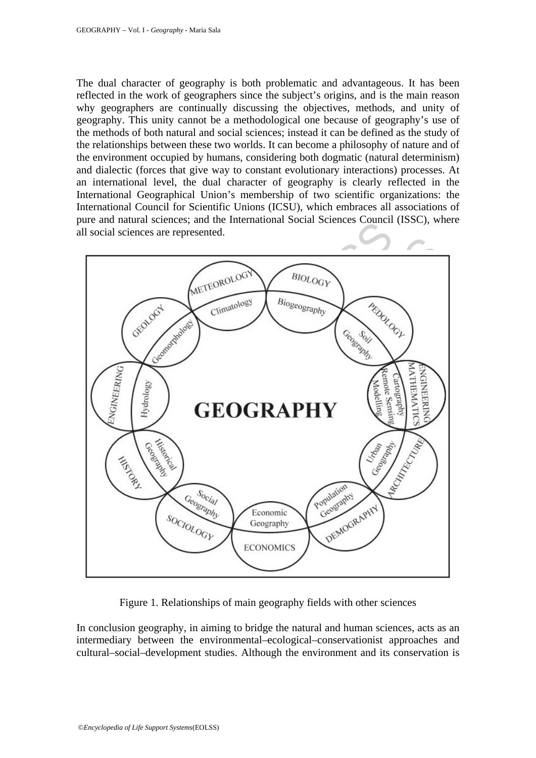The dual character of geography is both problematic and advantageous. It has been reflected in the work of geographers since the subject's origins, and is the main reason why geographers are continually discussing the objectives, methods, and unity of geography. This unity cannot be a methodological one because of geography's use of the methods of both natural and social sciences; instead it can be defined as the study of the relationships between these two worlds. It can become a philosophy of nature and of the environment occupied by humans, considering both dogmatic (natural determinism) and dialectic (forces that give way to constant evolutionary interactions) processes. At an international level, the dual character of geography is clearly reflected in the International Geographical Union's membership of two scientific organizations: the International Council for Scientific Unions (ICSU), which embraces all associations of pure and natural sciences; and the International Social Sciences Council (ISSC), where all social sciences are represented.



Figure 1. Relationships of main geography fields with other sciences

In conclusion geography, in aiming to bridge the natural and human sciences, acts as an intermediary between the environmental–ecological–conservationist approaches and cultural–social–development studies. Although the environment and its conservation is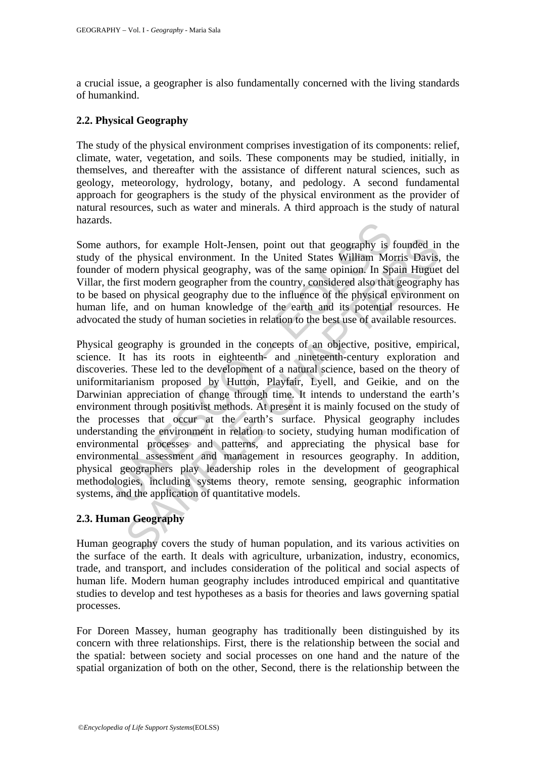a crucial issue, a geographer is also fundamentally concerned with the living standards of humankind.

# **2.2. Physical Geography**

The study of the physical environment comprises investigation of its components: relief, climate, water, vegetation, and soils. These components may be studied, initially, in themselves, and thereafter with the assistance of different natural sciences, such as geology, meteorology, hydrology, botany, and pedology. A second fundamental approach for geographers is the study of the physical environment as the provider of natural resources, such as water and minerals. A third approach is the study of natural hazards.

Some authors, for example Holt-Jensen, point out that geography is founded in the study of the physical environment. In the United States William Morris Davis, the founder of modern physical geography, was of the same opinion. In Spain Huguet del Villar, the first modern geographer from the country, considered also that geography has to be based on physical geography due to the influence of the physical environment on human life, and on human knowledge of the earth and its potential resources. He advocated the study of human societies in relation to the best use of available resources.

The prolonging Holt-Jensen, point out that geography is a uthors, for example Holt-Jensen, point out that geography is f the physical environment. In the United States William Mo of modern physical geography, was of the sa ors, for example Holt-Jensen, point out that geography is founded in<br>the physical environment. In the United States William Morris Davis,<br>modern physical geography, was of the same opinion. In Spain Huguet<br>first modern geo Physical geography is grounded in the concepts of an objective, positive, empirical, science. It has its roots in eighteenth- and nineteenth-century exploration and discoveries. These led to the development of a natural science, based on the theory of uniformitarianism proposed by Hutton, Playfair, Lyell, and Geikie, and on the Darwinian appreciation of change through time. It intends to understand the earth's environment through positivist methods. At present it is mainly focused on the study of the processes that occur at the earth's surface. Physical geography includes understanding the environment in relation to society, studying human modification of environmental processes and patterns, and appreciating the physical base for environmental assessment and management in resources geography. In addition, physical geographers play leadership roles in the development of geographical methodologies, including systems theory, remote sensing, geographic information systems, and the application of quantitative models.

# **2.3. Human Geography**

Human geography covers the study of human population, and its various activities on the surface of the earth. It deals with agriculture, urbanization, industry, economics, trade, and transport, and includes consideration of the political and social aspects of human life. Modern human geography includes introduced empirical and quantitative studies to develop and test hypotheses as a basis for theories and laws governing spatial processes.

For Doreen Massey, human geography has traditionally been distinguished by its concern with three relationships. First, there is the relationship between the social and the spatial: between society and social processes on one hand and the nature of the spatial organization of both on the other, Second, there is the relationship between the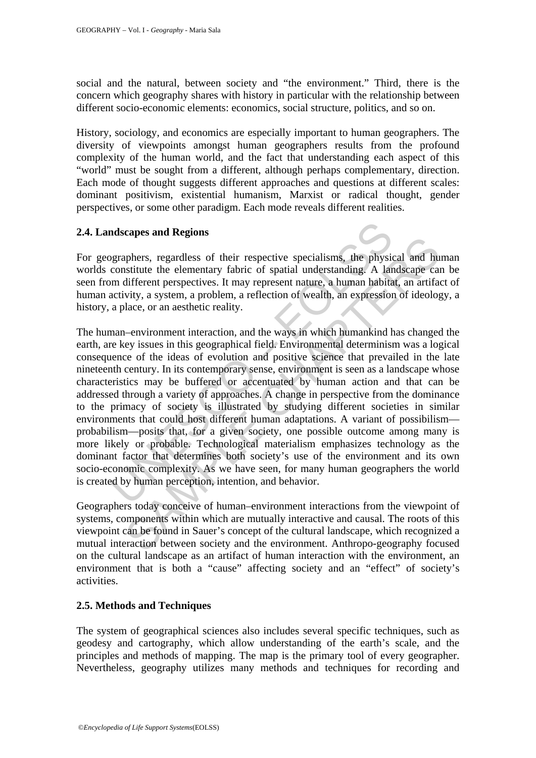social and the natural, between society and "the environment." Third, there is the concern which geography shares with history in particular with the relationship between different socio-economic elements: economics, social structure, politics, and so on.

History, sociology, and economics are especially important to human geographers. The diversity of viewpoints amongst human geographers results from the profound complexity of the human world, and the fact that understanding each aspect of this "world" must be sought from a different, although perhaps complementary, direction. Each mode of thought suggests different approaches and questions at different scales: dominant positivism, existential humanism, Marxist or radical thought, gender perspectives, or some other paradigm. Each mode reveals different realities.

### **2.4. Landscapes and Regions**

For geographers, regardless of their respective specialisms, the physical and human worlds constitute the elementary fabric of spatial understanding. A landscape can be seen from different perspectives. It may represent nature, a human habitat, an artifact of human activity, a system, a problem, a reflection of wealth, an expression of ideology, a history, a place, or an aesthetic reality.

**ndscapes and Regions**<br>
and **Regions**<br>
byggraphers, regardless of their respective specialisms, the physic<br>
constitute the elementary fabric of spatial understanding. A larm<br>
different perspectives. It may represent nature state the elements of their respective specialisms, the physical and hu<br>phers, regardless of their respective specialisms, the physical and hu<br>interest interesting of spatial understanding. A landscape can<br>different perspe The human–environment interaction, and the ways in which humankind has changed the earth, are key issues in this geographical field. Environmental determinism was a logical consequence of the ideas of evolution and positive science that prevailed in the late nineteenth century. In its contemporary sense, environment is seen as a landscape whose characteristics may be buffered or accentuated by human action and that can be addressed through a variety of approaches. A change in perspective from the dominance to the primacy of society is illustrated by studying different societies in similar environments that could host different human adaptations. A variant of possibilism probabilism—posits that, for a given society, one possible outcome among many is more likely or probable. Technological materialism emphasizes technology as the dominant factor that determines both society's use of the environment and its own socio-economic complexity. As we have seen, for many human geographers the world is created by human perception, intention, and behavior.

Geographers today conceive of human–environment interactions from the viewpoint of systems, components within which are mutually interactive and causal. The roots of this viewpoint can be found in Sauer's concept of the cultural landscape, which recognized a mutual interaction between society and the environment. Anthropo-geography focused on the cultural landscape as an artifact of human interaction with the environment, an environment that is both a "cause" affecting society and an "effect" of society's activities.

### **2.5. Methods and Techniques**

The system of geographical sciences also includes several specific techniques, such as geodesy and cartography, which allow understanding of the earth's scale, and the principles and methods of mapping. The map is the primary tool of every geographer. Nevertheless, geography utilizes many methods and techniques for recording and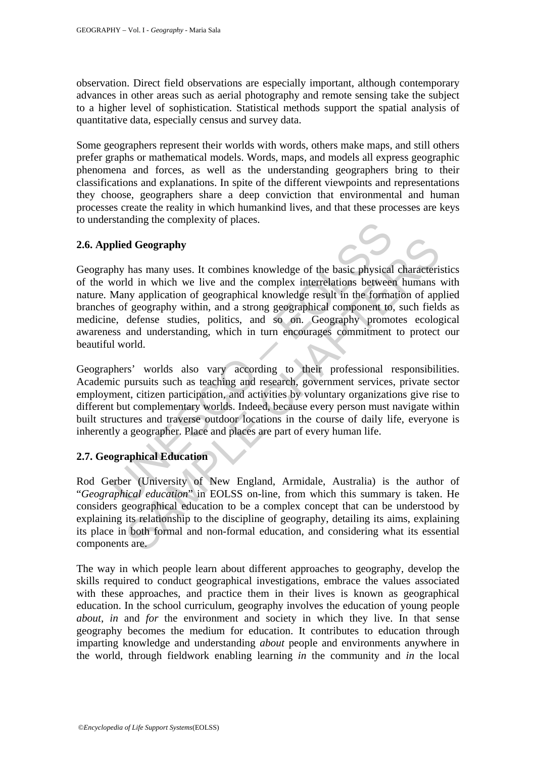observation. Direct field observations are especially important, although contemporary advances in other areas such as aerial photography and remote sensing take the subject to a higher level of sophistication. Statistical methods support the spatial analysis of quantitative data, especially census and survey data.

Some geographers represent their worlds with words, others make maps, and still others prefer graphs or mathematical models. Words, maps, and models all express geographic phenomena and forces, as well as the understanding geographers bring to their classifications and explanations. In spite of the different viewpoints and representations they choose, geographers share a deep conviction that environmental and human processes create the reality in which humankind lives, and that these processes are keys to understanding the complexity of places.

# **2.6. Applied Geography**

between the between the complexity of places.<br>
plied Geography<br>
phy has many uses. It combines knowledge of the basic physical<br>
world in which we live and the complex interrelations between<br>
Many application of geographica **Example 18 Geography**<br>
has many uses. It combines knowledge of the basic physical characterid<br>
d in which we live and the complex interrelations between humans<br>
my application of geographical knowledge result in the forma Geography has many uses. It combines knowledge of the basic physical characteristics of the world in which we live and the complex interrelations between humans with nature. Many application of geographical knowledge result in the formation of applied branches of geography within, and a strong geographical component to, such fields as medicine, defense studies, politics, and so on. Geography promotes ecological awareness and understanding, which in turn encourages commitment to protect our beautiful world.

Geographers' worlds also vary according to their professional responsibilities. Academic pursuits such as teaching and research, government services, private sector employment, citizen participation, and activities by voluntary organizations give rise to different but complementary worlds. Indeed, because every person must navigate within built structures and traverse outdoor locations in the course of daily life, everyone is inherently a geographer. Place and places are part of every human life.

# **2.7. Geographical Education**

Rod Gerber (University of New England, Armidale, Australia) is the author of "*Geographical education*" in EOLSS on-line, from which this summary is taken. He considers geographical education to be a complex concept that can be understood by explaining its relationship to the discipline of geography, detailing its aims, explaining its place in both formal and non-formal education, and considering what its essential components are.

The way in which people learn about different approaches to geography, develop the skills required to conduct geographical investigations, embrace the values associated with these approaches, and practice them in their lives is known as geographical education. In the school curriculum, geography involves the education of young people *about*, *in* and *for* the environment and society in which they live. In that sense geography becomes the medium for education. It contributes to education through imparting knowledge and understanding *about* people and environments anywhere in the world, through fieldwork enabling learning *in* the community and *in* the local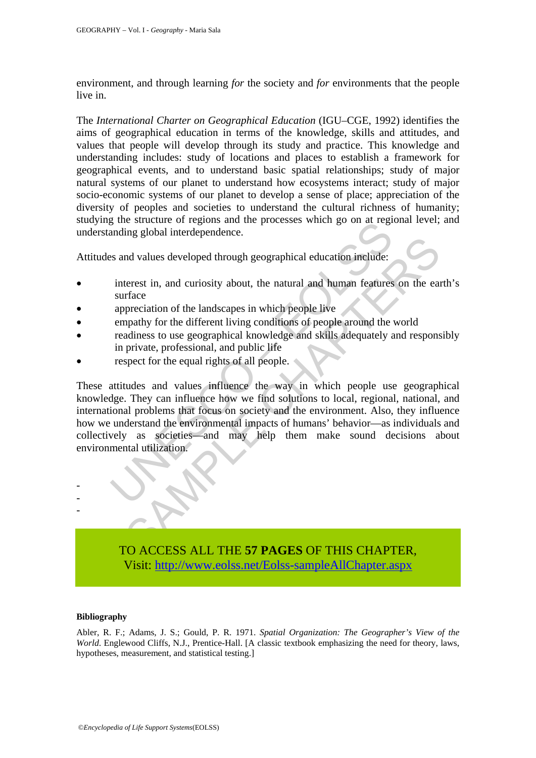environment, and through learning *for* the society and *for* environments that the people live in.

The *International Charter on Geographical Education* (IGU–CGE, 1992) identifies the aims of geographical education in terms of the knowledge, skills and attitudes, and values that people will develop through its study and practice. This knowledge and understanding includes: study of locations and places to establish a framework for geographical events, and to understand basic spatial relationships; study of major natural systems of our planet to understand how ecosystems interact; study of major socio-economic systems of our planet to develop a sense of place; appreciation of the diversity of peoples and societies to understand the cultural richness of humanity; studying the structure of regions and the processes which go on at regional level; and understanding global interdependence.

Attitudes and values developed through geographical education include:

- interest in, and curiosity about, the natural and human features on the earth's surface
- appreciation of the landscapes in which people live
- empathy for the different living conditions of people around the world
- readiness to use geographical knowledge and skills adequately and responsibly in private, professional, and public life
- respect for the equal rights of all people.

is and the processes which go that the same processes where the same and values developed through geographical education include:<br>
interest in, and curiosity about, the natural and human features<br>
surface<br>
appreciation of In values developed through geographical education include:<br>terest in, and curiosity about, the natural and human features on the ear<br>frace<br>preciation of the landscapes in which people live<br>arabies to use geographical know These attitudes and values influence the way in which people use geographical knowledge. They can influence how we find solutions to local, regional, national, and international problems that focus on society and the environment. Also, they influence how we understand the environmental impacts of humans' behavior—as individuals and collectively as societies—and may help them make sound decisions about environmental utilization.

TO ACCESS ALL THE **57 PAGES** OF THIS CHAPTER, Visit: [http://www.eolss.net/Eolss-sampleAllChapter.aspx](https://www.eolss.net/ebooklib/sc_cart.aspx?File=E6-14)

#### **Bibliography**

- - -

Abler, R. F.; Adams, J. S.; Gould, P. R. 1971. *Spatial Organization: The Geographer's View of the World*. Englewood Cliffs, N.J., Prentice-Hall. [A classic textbook emphasizing the need for theory, laws, hypotheses, measurement, and statistical testing.]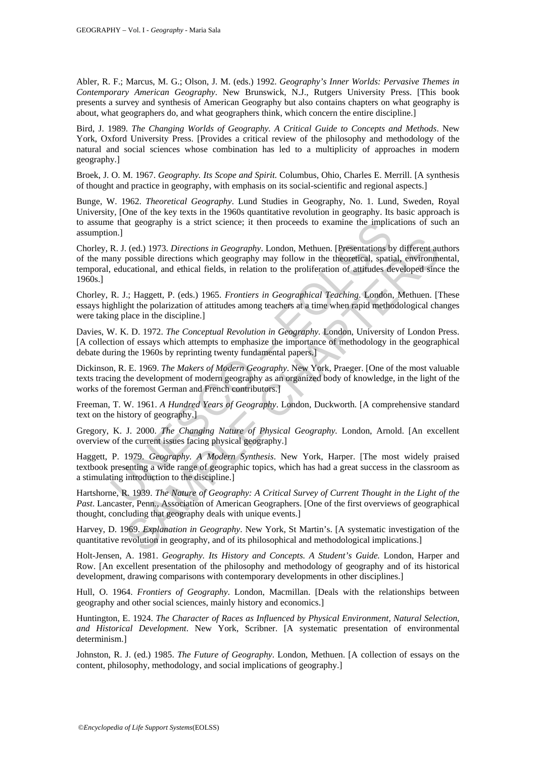Abler, R. F.; Marcus, M. G.; Olson, J. M. (eds.) 1992. *Geography's Inner Worlds: Pervasive Themes in Contemporary American Geography*. New Brunswick, N.J., Rutgers University Press. [This book presents a survey and synthesis of American Geography but also contains chapters on what geography is about, what geographers do, and what geographers think, which concern the entire discipline.]

Bird, J. 1989. *The Changing Worlds of Geography. A Critical Guide to Concepts and Methods*. New York, Oxford University Press. [Provides a critical review of the philosophy and methodology of the natural and social sciences whose combination has led to a multiplicity of approaches in modern geography.]

Broek, J. O. M. 1967. *Geography. Its Scope and Spirit.* Columbus, Ohio, Charles E. Merrill. [A synthesis of thought and practice in geography, with emphasis on its social-scientific and regional aspects.]

Bunge, W. 1962. *Theoretical Geography*. Lund Studies in Geography, No. 1. Lund, Sweden, Royal University, [One of the key texts in the 1960s quantitative revolution in geography. Its basic approach is to assume that geography is a strict science; it then proceeds to examine the implications of such an assumption.]

e that geography is a strict science; it then proceeds to examine the implicantly and the more of the N. J., H. del.) 1973. Directions which geography. London, Methuen. [Presentations b. N. J., H. H. deget directions which . (ed.) 1973. *Directions in Geography*. London, Methuen. [Presentations by different an possible directions which geography may follow in the theoretical, spatial, environmentational, and ethical fields, in relation to t Chorley, R. J. (ed.) 1973. *Directions in Geography*. London, Methuen. [Presentations by different authors of the many possible directions which geography may follow in the theoretical, spatial, environmental, temporal, educational, and ethical fields, in relation to the proliferation of attitudes developed since the 1960s.]

Chorley, R. J.; Haggett, P. (eds.) 1965. *Frontiers in Geographical Teaching*. London, Methuen. [These essays highlight the polarization of attitudes among teachers at a time when rapid methodological changes were taking place in the discipline.]

Davies, W. K. D. 1972. *The Conceptual Revolution in Geography.* London, University of London Press. [A collection of essays which attempts to emphasize the importance of methodology in the geographical debate during the 1960s by reprinting twenty fundamental papers.]

Dickinson, R. E. 1969. *The Makers of Modern Geography*. New York, Praeger. [One of the most valuable texts tracing the development of modern geography as an organized body of knowledge, in the light of the works of the foremost German and French contributors.]

Freeman, T. W. 1961. *A Hundred Years of Geography*. London, Duckworth. [A comprehensive standard text on the history of geography.]

Gregory, K. J. 2000. *The Changing Nature of Physical Geography.* London, Arnold. [An excellent overview of the current issues facing physical geography.]

Haggett, P. 1979. *Geography. A Modern Synthesis*. New York, Harper. [The most widely praised textbook presenting a wide range of geographic topics, which has had a great success in the classroom as a stimulating introduction to the discipline.]

Hartshorne, R. 1939. *The Nature of Geography: A Critical Survey of Current Thought in the Light of the Past*. Lancaster, Penn., Association of American Geographers. [One of the first overviews of geographical thought, concluding that geography deals with unique events.]

Harvey, D. 1969. *Explanation in Geography*. New York, St Martin's. [A systematic investigation of the quantitative revolution in geography, and of its philosophical and methodological implications.]

Holt-Jensen, A. 1981. *Geography. Its History and Concepts. A Student's Guide.* London, Harper and Row. [An excellent presentation of the philosophy and methodology of geography and of its historical development, drawing comparisons with contemporary developments in other disciplines.]

Hull, O. 1964. *Frontiers of Geography*. London, Macmillan. [Deals with the relationships between geography and other social sciences, mainly history and economics.]

Huntington, E. 1924. *The Character of Races as Influenced by Physical Environment, Natural Selection, and Historical Development*. New York, Scribner. [A systematic presentation of environmental determinism.]

Johnston, R. J. (ed.) 1985. *The Future of Geography*. London, Methuen. [A collection of essays on the content, philosophy, methodology, and social implications of geography.]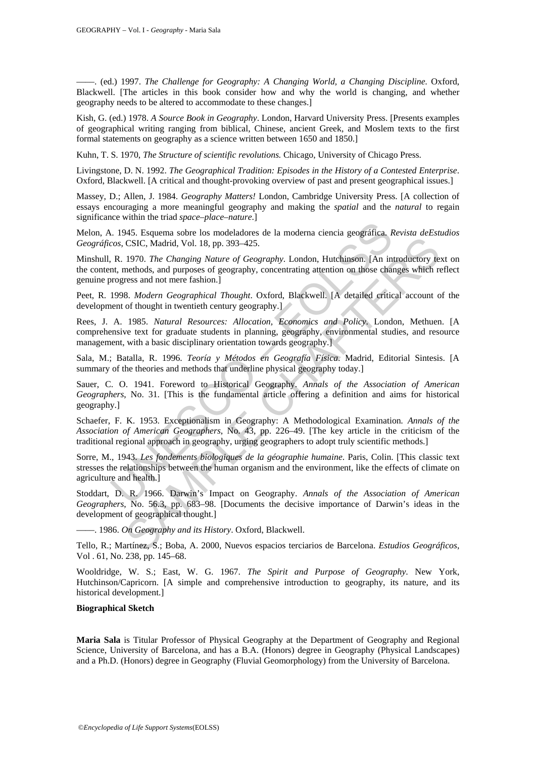––––. (ed.) 1997. *The Challenge for Geography: A Changing World, a Changing Discipline.* Oxford, Blackwell. [The articles in this book consider how and why the world is changing, and whether geography needs to be altered to accommodate to these changes.]

Kish, G. (ed.) 1978. *A Source Book in Geography*. London, Harvard University Press. [Presents examples of geographical writing ranging from biblical, Chinese, ancient Greek, and Moslem texts to the first formal statements on geography as a science written between 1650 and 1850.]

Kuhn, T. S. 1970, *The Structure of scientific revolutions.* Chicago, University of Chicago Press.

Livingstone, D. N. 1992. *The Geographical Tradition: Episodes in the History of a Contested Enterprise*. Oxford, Blackwell. [A critical and thought-provoking overview of past and present geographical issues.]

Massey, D.; Allen, J. 1984. *Geography Matters!* London, Cambridge University Press. [A collection of essays encouraging a more meaningful geography and making the *spatial* and the *natural* to regain significance within the triad *space–place–nature*.]

Melon, A. 1945. Esquema sobre los modeladores de la moderna ciencia geográfica. *Revista deEstudios Geográficos*, CSIC, Madrid, Vol. 18, pp. 393–425.

Minshull, R. 1970. *The Changing Nature of Geography*. London, Hutchinson. [An introductory text on the content, methods, and purposes of geography, concentrating attention on those changes which reflect genuine progress and not mere fashion.]

Peet, R. 1998. *Modern Geographical Thought*. Oxford, Blackwell. [A detailed critical account of the development of thought in twentieth century geography.

Rees, J. A. 1985. *Natural Resources: Allocation, Economics and Policy*. London, Methuen. [A comprehensive text for graduate students in planning, geography, environmental studies, and resource management, with a basic disciplinary orientation towards geography.]

Sala, M.; Batalla, R. 1996. *Teoría y Métodos en Geografía Física*. Madrid, Editorial Sintesis. [A summary of the theories and methods that underline physical geography today.]

1. 1945. Esquema sobre los modeladores de la moderna ciencia geográfica. *K*<br>
2. 1945. Esquema sobre los modeladores de la moderna ciencia geográfica. *K*<br>
2. 1945. ESIC, Madrid, Vol. 18, pp. 393-425.<br>
1. P. 1970. The Cha CSIC, Madrid, Vol. 18, pp. 393-425.<br>
CSIC, Madrid, Vol. 18, pp. 393-425.<br>
1970. The Changing Nature of Geography. London, Hutchinson. [An introductory tenetheds, and purposes of geography, concentrating attention on those Sauer, C. O. 1941. Foreword to Historical Geography. *Annals of the Association of American Geographers*, No. 31. [This is the fundamental article offering a definition and aims for historical geography.]

Schaefer, F. K. 1953. Exceptionalism in Geography: A Methodological Examination*. Annals of the Association of American Geographers*, No. 43, pp. 226–49. [The key article in the criticism of the traditional regional approach in geography, urging geographers to adopt truly scientific methods.]

Sorre, M., 1943. *Les fondements biologiques de la géographie humaine*. Paris, Colin. [This classic text stresses the relationships between the human organism and the environment, like the effects of climate on agriculture and health.]

Stoddart, D. R. 1966. Darwin's Impact on Geography. *Annals of the Association of American Geographers*, No. 56.3, pp. 683–98. [Documents the decisive importance of Darwin's ideas in the development of geographical thought.]

––––. 1986. *On Geography and its History*. Oxford, Blackwell.

Tello, R.; Martínez, S.; Boba, A. 2000, Nuevos espacios terciarios de Barcelona. *Estudios Geográficos*, Vol . 61, No. 238, pp. 145–68.

Wooldridge, W. S.; East, W. G. 1967. *The Spirit and Purpose of Geography*. New York, Hutchinson/Capricorn. [A simple and comprehensive introduction to geography, its nature, and its historical development.]

#### **Biographical Sketch**

**Maria Sala** is Titular Professor of Physical Geography at the Department of Geography and Regional Science, University of Barcelona, and has a B.A. (Honors) degree in Geography (Physical Landscapes) and a Ph.D. (Honors) degree in Geography (Fluvial Geomorphology) from the University of Barcelona.